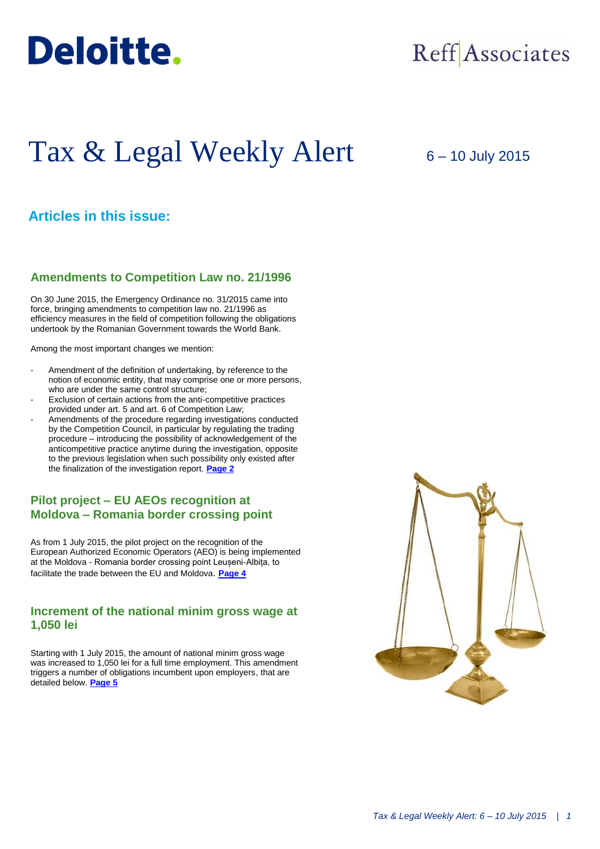

## Reff Associates

# Tax & Legal Weekly Alert

6 – 10 July 2015

## **Articles in this issue:**

## **Amendments to Competition Law no. 21/1996**

On 30 June 2015, the Emergency Ordinance no. 31/2015 came into force, bringing amendments to competition law no. 21/1996 as efficiency measures in the field of competition following the obligations undertook by the Romanian Government towards the World Bank.

Among the most important changes we mention:

- Amendment of the definition of undertaking, by reference to the notion of economic entity, that may comprise one or more persons, who are under the same control structure;
- Exclusion of certain actions from the anti-competitive practices provided under art. 5 and art. 6 of Competition Law;
- Amendments of the procedure regarding investigations conducted by the Competition Council, in particular by regulating the trading procedure – introducing the possibility of acknowledgement of the anticompetitive practice anytime during the investigation, opposite to the previous legislation when such possibility only existed after the finalization of the investigation report. **[Page 2](#page-1-0)**

## **Pilot project – EU AEOs recognition at Moldova – Romania border crossing point**

As from 1 July 2015, the pilot project on the recognition of the European Authorized Economic Operators (AEO) is being implemented at the Moldova - Romania border crossing point Leușeni-Albița, to facilitate the trade between the EU and Moldova. **[Page 4](#page-2-0)**

### **Increment of the national minim gross wage at 1,050 lei**

Starting with 1 July 2015, the amount of national minim gross wage was increased to 1,050 lei for a full time employment. This amendment triggers a number of obligations incumbent upon employers, that are detailed below. **[Page 5](#page-3-0)**

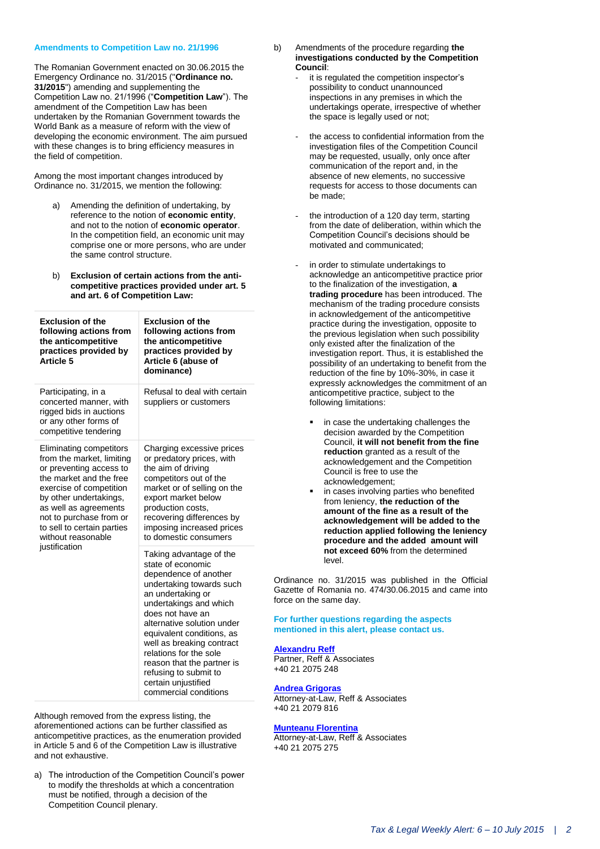#### <span id="page-1-0"></span>**Amendments to Competition Law no. 21/1996**

The Romanian Government enacted on 30.06.2015 the Emergency Ordinance no. 31/2015 ("**Ordinance no. 31/2015**") amending and supplementing the Competition Law no. 21/1996 ("**Competition Law**"). The amendment of the Competition Law has been undertaken by the Romanian Government towards the World Bank as a measure of reform with the view of developing the economic environment. The aim pursued with these changes is to bring efficiency measures in the field of competition.

Among the most important changes introduced by Ordinance no. 31/2015, we mention the following:

- a) Amending the definition of undertaking, by reference to the notion of **economic entity**, and not to the notion of **economic operator**. In the competition field, an economic unit may comprise one or more persons, who are under the same control structure.
- b) **Exclusion of certain actions from the anticompetitive practices provided under art. 5 and art. 6 of Competition Law:**

| <b>Exclusion of the</b><br>following actions from<br>the anticompetitive<br>practices provided by<br>Article 5                                                                                                                                                                           | <b>Exclusion of the</b><br>following actions from<br>the anticompetitive<br>practices provided by<br>Article 6 (abuse of<br>dominance)                                                                                                                                                                                                                                                        |
|------------------------------------------------------------------------------------------------------------------------------------------------------------------------------------------------------------------------------------------------------------------------------------------|-----------------------------------------------------------------------------------------------------------------------------------------------------------------------------------------------------------------------------------------------------------------------------------------------------------------------------------------------------------------------------------------------|
| Participating, in a<br>concerted manner, with<br>rigged bids in auctions<br>or any other forms of<br>competitive tendering                                                                                                                                                               | Refusal to deal with certain<br>suppliers or customers                                                                                                                                                                                                                                                                                                                                        |
| Eliminating competitors<br>from the market, limiting<br>or preventing access to<br>the market and the free<br>exercise of competition<br>by other undertakings,<br>as well as agreements<br>not to purchase from or<br>to sell to certain parties<br>without reasonable<br>justification | Charging excessive prices<br>or predatory prices, with<br>the aim of driving<br>competitors out of the<br>market or of selling on the<br>export market below<br>production costs,<br>recovering differences by<br>imposing increased prices<br>to domestic consumers                                                                                                                          |
|                                                                                                                                                                                                                                                                                          | Taking advantage of the<br>state of economic<br>dependence of another<br>undertaking towards such<br>an undertaking or<br>undertakings and which<br>does not have an<br>alternative solution under<br>equivalent conditions, as<br>well as breaking contract<br>relations for the sole<br>reason that the partner is<br>refusing to submit to<br>certain unjustified<br>commercial conditions |

Although removed from the express listing, the aforementioned actions can be further classified as anticompetitive practices, as the enumeration provided in Article 5 and 6 of the Competition Law is illustrative and not exhaustive.

a) The introduction of the Competition Council's power to modify the thresholds at which a concentration must be notified, through a decision of the Competition Council plenary.

- b) Amendments of the procedure regarding **the investigations conducted by the Competition Council**:
	- it is regulated the competition inspector's possibility to conduct unannounced inspections in any premises in which the undertakings operate, irrespective of whether the space is legally used or not;
	- the access to confidential information from the investigation files of the Competition Council may be requested, usually, only once after communication of the report and, in the absence of new elements, no successive requests for access to those documents can be made;
	- the introduction of a 120 day term, starting from the date of deliberation, within which the Competition Council's decisions should be motivated and communicated;
	- in order to stimulate undertakings to acknowledge an anticompetitive practice prior to the finalization of the investigation, **a trading procedure** has been introduced. The mechanism of the trading procedure consists in acknowledgement of the anticompetitive practice during the investigation, opposite to the previous legislation when such possibility only existed after the finalization of the investigation report. Thus, it is established the possibility of an undertaking to benefit from the reduction of the fine by 10%-30%, in case it expressly acknowledges the commitment of an anticompetitive practice, subject to the following limitations:
		- in case the undertaking challenges the decision awarded by the Competition Council, **it will not benefit from the fine reduction** granted as a result of the acknowledgement and the Competition Council is free to use the acknowledgement;
		- in cases involving parties who benefited from leniency, **the reduction of the amount of the fine as a result of the acknowledgement will be added to the reduction applied following the leniency procedure and the added amount will not exceed 60%** from the determined level.

Ordinance no. 31/2015 was published in the Official Gazette of Romania no. 474/30.06.2015 and came into force on the same day.

#### **For further questions regarding the aspects mentioned in this alert, please contact us.**

#### **[Alexandru Reff](mailto:areff@reff-associates.ro)**

Partner, Reff & Associates +40 21 2075 248

## **[Andrea Grigoras](mailto:agrigoras@reff-associates.ro)**

Attorney-at-Law, Reff & Associates +40 21 2079 816

#### **[Munteanu Florentina](mailto:fmunteanu@reff-associates.ro)**

Attorney-at-Law, Reff & Associates +40 21 2075 275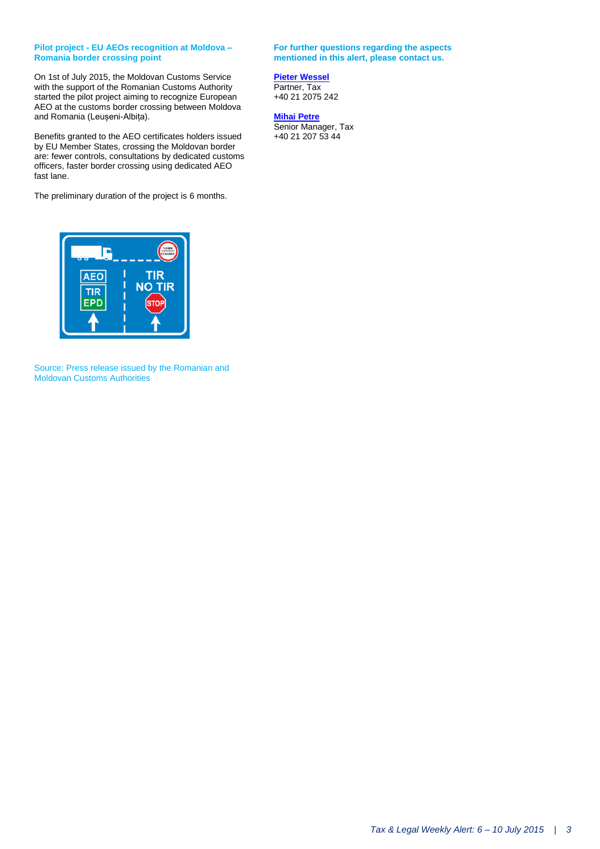#### <span id="page-2-0"></span>**Pilot project - EU AEOs recognition at Moldova – Romania border crossing point**

On 1st of July 2015, the Moldovan Customs Service with the support of the Romanian Customs Authority started the pilot project aiming to recognize European AEO at the customs border crossing between Moldova and Romania (Leușeni-Albița).

Benefits granted to the AEO certificates holders issued by EU Member States, crossing the Moldovan border are: fewer controls, consultations by dedicated customs officers, faster border crossing using dedicated AEO fast lane.

The preliminary duration of the project is 6 months.



Source: Press release issued by the Romanian and Moldovan Customs Authorities

**For further questions regarding the aspects mentioned in this alert, please contact us.**

## **[Pieter Wessel](mailto:pwessel@deloittece.com)**

Partner, Tax +40 21 2075 242

#### **[Mihai](mailto:mipetre@deloittece.com) Petre**

Senior Manager, Tax +40 21 207 53 44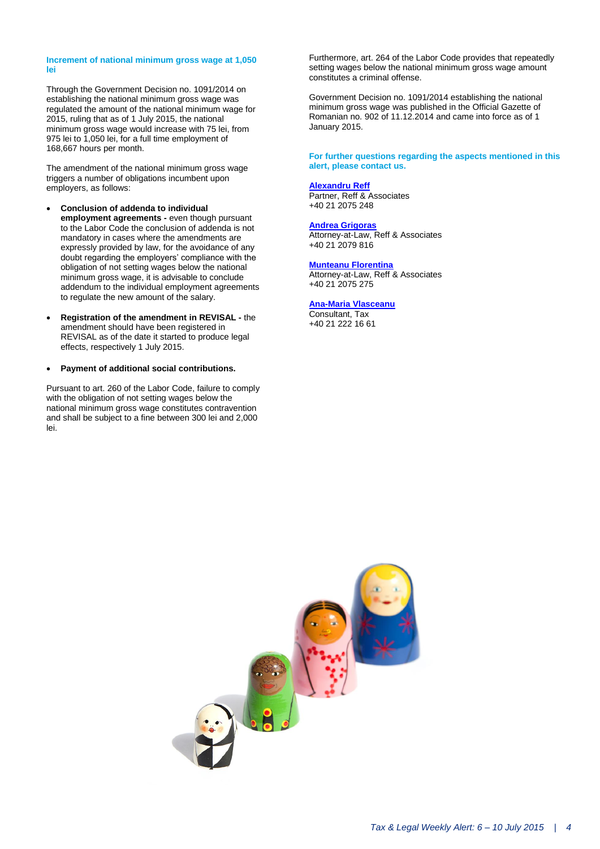#### <span id="page-3-0"></span>**Increment of national minimum gross wage at 1,050 lei**

Through the Government Decision no. 1091/2014 on establishing the national minimum gross wage was regulated the amount of the national minimum wage for 2015, ruling that as of 1 July 2015, the national minimum gross wage would increase with 75 lei, from 975 lei to 1,050 lei, for a full time employment of 168,667 hours per month.

The amendment of the national minimum gross wage triggers a number of obligations incumbent upon employers, as follows:

- **Conclusion of addenda to individual employment agreements -** even though pursuant to the Labor Code the conclusion of addenda is not mandatory in cases where the amendments are expressly provided by law, for the avoidance of any doubt regarding the employers' compliance with the obligation of not setting wages below the national minimum gross wage, it is advisable to conclude addendum to the individual employment agreements to regulate the new amount of the salary.
- **Registration of the amendment in REVISAL -** the amendment should have been registered in REVISAL as of the date it started to produce legal effects, respectively 1 July 2015.
- **Payment of additional social contributions.**

Pursuant to art. 260 of the Labor Code, failure to comply with the obligation of not setting wages below the national minimum gross wage constitutes contravention and shall be subject to a fine between 300 lei and 2,000 lei.

Furthermore, art. 264 of the Labor Code provides that repeatedly setting wages below the national minimum gross wage amount constitutes a criminal offense.

Government Decision no. 1091/2014 establishing the national minimum gross wage was published in the Official Gazette of Romanian no. [902 of 11.12.2014](https://www.legalis.ro/legalis/document-view.seam?documentId=nvxv6mrqge2f6ojqgi) and came into force as of 1 January 2015.

**For further questions regarding the aspects mentioned in this alert, please contact us.**

#### **[Alexandru Reff](mailto:areff@reff-associates.ro)**

Partner, Reff & Associates +40 21 2075 248

#### **[Andrea Grigoras](mailto:agrigoras@reff-associates.ro)**

Attorney-at-Law, Reff & Associates +40 21 2079 816

#### **[Munteanu Florentina](mailto:fmunteanu@reff-associates.ro)**

Attorney-at-Law, Reff & Associates +40 21 2075 275

#### **[Ana-Maria Vlasceanu](mailto:avlasceanu@deloittece.com)**

Consultant, Tax +40 21 222 16 61